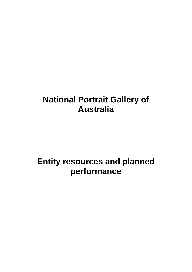# **National Portrait Gallery of Australia**

# **Entity resources and planned performance**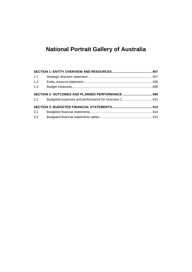## **National Portrait Gallery of Australia**

| 1.1 |                                                  |  |
|-----|--------------------------------------------------|--|
| 1.2 |                                                  |  |
| 1.3 |                                                  |  |
| 2.1 | SECTION 2: OUTCOMES AND PLANNED PERFORMANCE  409 |  |
|     |                                                  |  |
| 3.1 |                                                  |  |
| 3.2 |                                                  |  |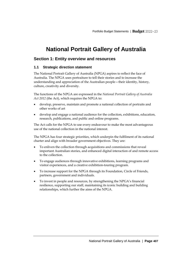## **National Portrait Gallery of Australia**

### <span id="page-2-0"></span>**Section 1: Entity overview and resources**

#### <span id="page-2-1"></span>**1.1 Strategic direction statement**

The National Portrait Gallery of Australia (NPGA) aspires to reflect the face of Australia. The NPGA uses portraiture to tell their stories and to increase the understanding and appreciation of the Australian people—their identity, history, culture, creativity and diversity.

The functions of the NPGA are expressed in the *National Portrait Gallery of Australia Act 2012* (the Act), which requires the NPGA to:

- develop, preserve, maintain and promote a national collection of portraits and other works of art
- develop and engage a national audience for the collection, exhibitions, education, research, publications, and public and online programs.

The Act calls for the NPGA to use every endeavour to make the most advantageous use of the national collection in the national interest.

The NPGA has four strategic priorities, which underpin the fulfilment of its national charter and align with broader government objectives. They are:

- To enliven the collection through acquisitions and commissions that reveal important Australian stories, and enhanced digital interaction of and remote access to the collection.
- To engage audiences through innovative exhibitions, learning programs and visitor experiences, and a creative exhibition-touring program.
- To increase support for the NPGA through its Foundation, Circle of Friends, partners, government and individuals.
- To invest in people and resources, by strengthening the NPGA's financial resilience, supporting our staff, maintaining its iconic building and building relationships, which further the aims of the NPGA.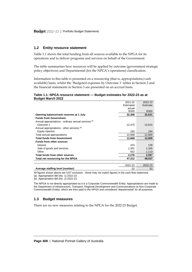#### <span id="page-3-0"></span>**1.2 Entity resource statement**

Table 1.1 shows the total funding from all sources available to the NPGA for its operations and to deliver programs and services on behalf of the Government.

The table summarises how resources will be applied by outcome (government strategic policy objectives) and Departmental (for the NPGA's operations) classification.

Information in this table is presented on a resourcing (that is, appropriations/cash available) basis, whilst the 'Budgeted expenses by Outcome 1' tables in Section 2 and the financial statements in Section 3 are presented on an accrual basis.

#### **Table 1.1: NPGA resource statement — Budget estimates for 2022-23 as at Budget March 2022**

|                                                                 | 2021-22   | 2022-23  |
|-----------------------------------------------------------------|-----------|----------|
|                                                                 | Estimated | Estimate |
|                                                                 | actual    |          |
|                                                                 | \$'000    | \$'000   |
| Opening balance/cash reserves at 1 July                         | 32,368    | 32,631   |
| <b>Funds from Government</b>                                    |           |          |
| Annual appropriations - ordinary annual services <sup>(a)</sup> |           |          |
| Outcome 1                                                       | 12,475    | 12,615   |
| Annual appropriations - other services (b)                      |           |          |
| Equity injection                                                | 193       | 194      |
| Total annual appropriations                                     | 12,668    | 12,809   |
| <b>Total funds from Government</b>                              | 12,668    | 12,809   |
| <b>Funds from other sources</b>                                 |           |          |
| Interest                                                        | 323       | 139      |
| Sale of goods and services                                      | 1,301     | 1,345    |
| Other                                                           | 652       | 1,113    |
| Total funds from other sources                                  | 2,276     | 2,597    |
| Total net resourcing for the NPGA                               | 47,312    | 48,037   |
|                                                                 |           |          |
|                                                                 | 2021-22   | 2022-23  |

**Average staffing level (number)** 52 52 All figures shown above are GST exclusive - these may not match figures in the cash flow statement.

(a) Appropriation Bill (No. 1) 2022-23.

(b) Appropriation Bill (No. 2) 2022-23.

The NPGA is not directly appropriated as it is a Corporate Commonwealth Entity. Appropriations are made to the Department of Infrastructure, Transport, Regional Development and Communications (a Non-Corporate Commonwealth Entity), which are then paid to the NPGA and considered 'departmental' for all purposes.

#### <span id="page-3-1"></span>**1.3 Budget measures**

There are no new measures relating to the NPGA for the 2022-23 Budget.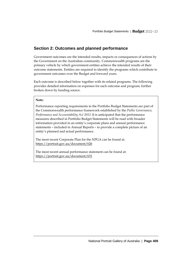## <span id="page-4-0"></span>**Section 2: Outcomes and planned performance**

Government outcomes are the intended results, impacts or consequences of actions by the Government on the Australian community. Commonwealth programs are the primary vehicle by which government entities achieve the intended results of their outcome statements. Entities are required to identify the programs which contribute to government outcomes over the Budget and forward years.

Each outcome is described below together with its related programs. The following provides detailed information on expenses for each outcome and program, further broken down by funding source.

#### **Note:**

Performance reporting requirements in the Portfolio Budget Statements are part of the Commonwealth performance framework established by the *Public Governance, Performance and Accountability Act 2013*. It is anticipated that the performance measures described in Portfolio Budget Statements will be read with broader information provided in an entity's corporate plans and annual performance statements – included in Annual Reports – to provide a complete picture of an entity's planned and actual performance.

The most recent Corporate Plan for the NPGA can be found at: <https://portrait.gov.au/document/626>

The most recent annual performance statement can be found at: <https://portrait.gov.au/document/631>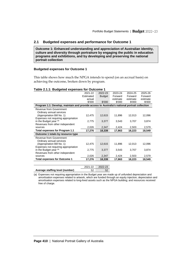#### <span id="page-5-0"></span>**2.1 Budgeted expenses and performance for Outcome 1**

**Outcome 1: Enhanced understanding and appreciation of Australian identity, culture and diversity through portraiture by engaging the public in education programs and exhibitions, and by developing and preserving the national portrait collection** 

#### **Budgeted expenses for Outcome 1**

This table shows how much the NPGA intends to spend (on an accrual basis) on achieving the outcome, broken down by program.

#### **Table 2.1.1: Budgeted expenses for Outcome 1**

|                                                                                               | 2021-22   | 2022-23       | 2023-24  | 2024-25  | 2025-26  |
|-----------------------------------------------------------------------------------------------|-----------|---------------|----------|----------|----------|
|                                                                                               | Estimated | <b>Budget</b> | Forward  | Forward  | Forward  |
|                                                                                               | actual    |               | estimate | estimate | estimate |
|                                                                                               | \$'000    | \$'000        | \$'000   | \$'000   | \$'000   |
| Program 1.1: Develop, maintain and provide access to Australia's national portrait collection |           |               |          |          |          |
| Revenue from Government                                                                       |           |               |          |          |          |
| Ordinary annual services                                                                      |           |               |          |          |          |
| (Appropriation Bill No. 1)                                                                    | 12,475    | 12,615        | 11,896   | 12,013   | 12,096   |
| Expenses not requiring appropriation                                                          |           |               |          |          |          |
| in the Budget year (a)                                                                        | 2,775     | 3,377         | 3,543    | 3,707    | 3,874    |
| Revenues from other independent                                                               |           |               |          |          |          |
| sources                                                                                       | 2,026     | 2,347         | 2,424    | 2,503    | 2,579    |
| Total expenses for Program 1.1                                                                | 17,276    | 18,339        | 17,863   | 18,223   | 18,549   |
| Outcome 1 totals by resource type                                                             |           |               |          |          |          |
| Revenue from Government                                                                       |           |               |          |          |          |
| Ordinary annual services                                                                      |           |               |          |          |          |
| (Appropriation Bill No. 1)                                                                    | 12,475    | 12,615        | 11,896   | 12,013   | 12,096   |
| Expenses not requiring appropriation                                                          |           |               |          |          |          |
| in the Budget year (a)                                                                        | 2,775     | 3,377         | 3,543    | 3,707    | 3,874    |
| Revenues from other independent                                                               |           |               |          |          |          |
| sources                                                                                       | 2,026     | 2,347         | 2,424    | 2,503    | 2,579    |
| <b>Total expenses for Outcome 1</b>                                                           | 17,276    | 18,339        | 17,863   | 18,223   | 18,549   |
|                                                                                               |           |               |          |          |          |

|                                 |    | 2021-22 2022-23 |
|---------------------------------|----|-----------------|
| Average staffing level (number) | 52 | 52              |

(a) Expenses not requiring appropriation in the Budget year are made up of unfunded depreciation and amortisation expenses related to artwork, which are funded through an equity injection; depreciation and amortisation expenses related to long-lived assets such as the NPGA building; and resources received free of charge.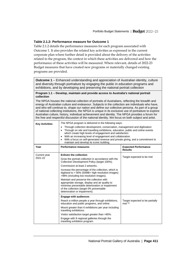#### **Table 2.1.2: Performance measure for Outcome 1**

Table 2.1.2 details the performance measures for each program associated with Outcome 1. It also provides the related key activities as expressed in the current corporate plan where further detail is provided about the delivery of the activities related to the program, the context in which these activities are delivered and how the performance of these activities will be measured. Where relevant, details of 2022-23 Budget measures that have created new programs or materially changed existing programs are provided.

**Outcome 1** – Enhanced understanding and appreciation of Australian identity, culture and diversity through portraiture by engaging the public in education programs and exhibitions, and by developing and preserving the national portrait collection

#### **Program 1.1 – Develop, maintain and provide access to Australia's national portrait collection**

The NPGA houses the national collection of portraits of Australians, reflecting the breadth and energy of Australian culture and endeavour. Subjects in the collection are individuals who have, and who will continue to, shape our nation and define our collective persona. As part of a group of national collecting institutions, the NPGA is unique in its exclusive use of portraiture to explore Australian culture, history, individual achievement and identity. The NPGA provides a forum for the free and respectful discussion of the national identity. We focus on both subject and artist.

| <b>Key Activities</b>   | The NPGA program is delivered in the following ways:<br>Through collection development, conservation, management and digitisation<br>Through on site and travelling exhibitions, education, public and online events<br>which create high levels of engagement and satisfaction<br>With an increasing level of engagement and collaboration<br>$\bullet$<br>With a focus on self-generated revenue and private giving, and a commitment to<br>maintain and develop its iconic building.                                                                         |                                                       |  |  |  |
|-------------------------|-----------------------------------------------------------------------------------------------------------------------------------------------------------------------------------------------------------------------------------------------------------------------------------------------------------------------------------------------------------------------------------------------------------------------------------------------------------------------------------------------------------------------------------------------------------------|-------------------------------------------------------|--|--|--|
| Year                    | <b>Performance measures</b><br><b>Expected Performance</b><br><b>Results</b>                                                                                                                                                                                                                                                                                                                                                                                                                                                                                    |                                                       |  |  |  |
| Current year<br>2021-22 | <b>Enliven the collection</b><br>Grow the portrait collection in accordance with the<br>Collection Development Policy (target 100%).<br>Commission at least 2 artworks.<br>Increase the percentage of the collection, which is<br>digitised to > 90% (50MB+ high resolution images)<br>>98% (including low resolution images).<br>Maintain and preserve the collection with<br>appropriate storage, display and air quality to<br>minimise preventable deterioration or impairment<br>of the collection (target 0% preventable<br>deterioration or impairment). | Target expected to be met                             |  |  |  |
|                         | <b>Engage with audiences</b><br>Reach a million people a year through exhibitions,<br>education and public programs, and online.<br>Mount greater than 6 exhibitions per year including<br>travelling exhibitions.<br>Visitor satisfaction target greater than >90%.<br>Engage with 8 regional galleries through the<br>travelling exhibition program.                                                                                                                                                                                                          | Target expected to be partially<br>met <sup>(a)</sup> |  |  |  |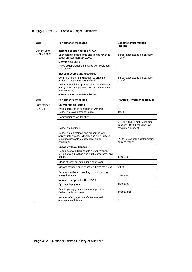| Year                          | <b>Performance measures</b>                                                                                                                                                                                                                                         | <b>Expected Performance</b><br><b>Results</b>                                      |
|-------------------------------|---------------------------------------------------------------------------------------------------------------------------------------------------------------------------------------------------------------------------------------------------------------------|------------------------------------------------------------------------------------|
| Current year<br>2021-22 cont. | Increase support for the NPGA<br>Sponsorship, partnership and in kind revenue<br>target greater than \$550,000.<br>Grow private giving.<br>Three collaborations/initiatives with overseas<br>institutions.                                                          | Target expected to be partially<br>met (a)                                         |
|                               | Invest in people and resources<br>Commit 1% of staffing budget to ongoing<br>professional development of staff.<br>Deliver the building preventative maintenance<br>plan (target 75% planned versus 25% reactive<br>maintenance).<br>Grow commercial revenue by 5%. | Target expected to be partially<br>met (a)                                         |
| Year                          | <b>Performance measures</b>                                                                                                                                                                                                                                         | <b>Planned Performance Results</b>                                                 |
| Budget year<br>2022-23        | <b>Enliven the collection</b><br>Works acquired in accordance with the<br><b>Collection Development Policy.</b>                                                                                                                                                     | 100%                                                                               |
|                               | Commissioned works of art.                                                                                                                                                                                                                                          | $2+$                                                                               |
|                               | Collection digitised.                                                                                                                                                                                                                                               | > 95% (50MB+ high resolution<br>images) >98% (including low<br>resolution images). |
|                               | Collection maintained and preserved with<br>appropriate storage, display and air quality to<br>minimise preventable deterioration or<br>impairment.                                                                                                                 | 0% for preventable deterioration<br>or impairment                                  |
|                               | <b>Engage with audiences</b><br>Reach over a million people a year through<br>exhibitions, education and public programs, and<br>online.                                                                                                                            | 1,200,000                                                                          |
|                               | Stage at least six exhibitions each year.                                                                                                                                                                                                                           | 6+                                                                                 |
|                               | Visitors satisfied or very satisfied with their visit.                                                                                                                                                                                                              | >90%                                                                               |
|                               | Present a national travelling exhibition program<br>at eight venues.                                                                                                                                                                                                | 8 venues                                                                           |
|                               | Increase support for the NPGA<br>Sponsorship goals.                                                                                                                                                                                                                 | \$550,000                                                                          |
|                               | Private giving goals including support for<br>Collection development.                                                                                                                                                                                               | \$2,000,000                                                                        |
|                               | Number of engagements/initiatives with<br>overseas institutions.                                                                                                                                                                                                    | 5                                                                                  |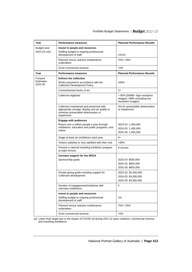| Year                                   | Performance measures                                                                                                                                | <b>Planned Performance Results</b>                                                 |
|----------------------------------------|-----------------------------------------------------------------------------------------------------------------------------------------------------|------------------------------------------------------------------------------------|
| Budget year<br>2022-23 cont.           | Invest in people and resources<br>Staffing budget to ongoing professional<br>development of staff.                                                  | 1%1%                                                                               |
|                                        | Planned versus reactive maintenance<br>undertaken.                                                                                                  | 75% / 25%                                                                          |
|                                        | Grow commercial revenue.                                                                                                                            | $>5\%$                                                                             |
| Year                                   | Performance measures                                                                                                                                | <b>Planned Performance Results</b>                                                 |
| Forward<br><b>Fstimates</b><br>2023-26 | <b>Enliven the collection</b><br>Works acquired in accordance with the<br>Collection Development Policy.                                            | 100%                                                                               |
|                                        | Commissioned works of art.                                                                                                                          | $2+$                                                                               |
|                                        | Collection digitised.                                                                                                                               | > 95% (50MB+ high resolution<br>images) >98% (including low<br>resolution images). |
|                                        | Collection maintained and preserved with<br>appropriate storage, display and air quality to<br>minimise preventable deterioration or<br>impairment. | 0% for preventable deterioration<br>or impairment                                  |
|                                        | <b>Engage with audiences</b>                                                                                                                        |                                                                                    |
|                                        | Reach over a million people a year through<br>exhibitions, education and public programs, and                                                       | 2023-24: 1,300,000                                                                 |
|                                        | online.                                                                                                                                             | 2024-25: 1,400,000<br>2025-26: 1,500,000                                           |
|                                        | Stage at least six exhibitions each year.                                                                                                           | 6+                                                                                 |
|                                        | Visitors satisfied or very satisfied with their visit.                                                                                              | >90%                                                                               |
|                                        | Present a national travelling exhibition program<br>at eight venues.                                                                                | 8 venues                                                                           |
|                                        | Increase support for the NPGA                                                                                                                       |                                                                                    |
|                                        | Sponsorship goals.                                                                                                                                  | 2023-24: \$550,000                                                                 |
|                                        |                                                                                                                                                     | 2024-25: \$600,000                                                                 |
|                                        |                                                                                                                                                     | 2025-26: \$650,000                                                                 |
|                                        | Private giving goals including support for<br>Collection development.                                                                               | 2023-24: \$2,500,000<br>2024-25: \$3,000,000                                       |
|                                        |                                                                                                                                                     | 2025-26: \$3,000,000                                                               |
|                                        | Number of engagements/initiatives with<br>overseas institutions.                                                                                    | 5                                                                                  |
|                                        | Invest in people and resources                                                                                                                      |                                                                                    |
|                                        | Staffing budget to ongoing professional<br>development of staff.                                                                                    | 1%                                                                                 |
|                                        | Planned versus reactive maintenance<br>undertaken.                                                                                                  | 75% / 25%                                                                          |
|                                        | Grow commercial revenue.                                                                                                                            | $>5\%$                                                                             |

(a) Lower than target due to the impact of COVID-19 during 2021-22 upon visitation, commercial revenue and travelling exhibitions.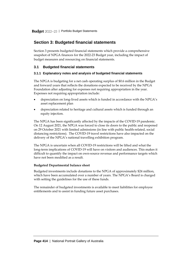## <span id="page-9-0"></span>**Section 3: Budgeted financial statements**

Section 3 presents budgeted financial statements which provide a comprehensive snapshot of NPGA finances for the 2022-23 Budget year, including the impact of budget measures and resourcing on financial statements.

#### <span id="page-9-1"></span>**3.1 Budgeted financial statements**

#### **3.1.1 Explanatory notes and analysis of budgeted financial statements**

The NPGA is budgeting for a net cash operating surplus of \$0.6 million in the Budget and forward years that reflects the donations expected to be received by the NPGA Foundation after adjusting for expenses not requiring appropriation in the year. Expenses not requiring appropriation include:

- depreciation on long-lived assets which is funded in accordance with the NPGA's asset replacement plan
- depreciation related to heritage and cultural assets which is funded through an equity injection.

The NPGA has been significantly affected by the impacts of the COVID-19 pandemic. On 12 August 2021, the NPGA was forced to close its doors to the public and reopened on 29 October 2021 with limited admissions (in line with public health-related, social distancing restrictions). The COVID-19 travel restrictions have also impacted on the delivery of the NPGA's national travelling exhibition program.

The NPGA is uncertain when all COVID-19 restrictions will be lifted and what the long-term implications of COVID-19 will have on visitors and audiences. This makes it difficult to quantify the impact on own-source revenue and performance targets which have not been modified as a result.

#### **Budgeted Departmental balance sheet**

Budgeted investments include donations to the NPGA of approximately \$24 million, which have been accumulated over a number of years. The NPGA's Board is charged with setting the guidelines for the use of these funds.

The remainder of budgeted investments is available to meet liabilities for employee entitlements and to assist in funding future asset purchases.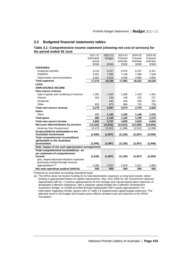#### <span id="page-10-0"></span>**3.2 Budgeted financial statements tables**

#### **Table 3.1: Comprehensive income statement (showing net cost of services) for the period ended 30 June**

|                                                                        | 2021-22      | 2022-23       | 2023-24      | 2024-25      | 2025-26      |
|------------------------------------------------------------------------|--------------|---------------|--------------|--------------|--------------|
|                                                                        | Estimated    | <b>Budget</b> | Forward      | Forward      | Forward      |
|                                                                        | actual       |               | estimate     | estimate     | estimate     |
|                                                                        | \$'000       | \$'000        | \$'000       | \$'000       | \$'000       |
| <b>EXPENSES</b>                                                        |              |               |              |              |              |
| <b>Employee benefits</b>                                               | 6,223        | 6,257         | 6,076        | 6,197        | 6,321        |
| <b>Suppliers</b>                                                       | 6,461        | 7,466         | 7,149        | 7,366        | 7,546        |
| Depreciation and amortisation                                          | 4,592        | 4,616         | 4,638        | 4,660        | 4,682        |
| <b>Total expenses</b>                                                  | 17,276       | 18,339        | 17,863       | 18,223       | 18,549       |
| LESS:                                                                  |              |               |              |              |              |
| <b>OWN-SOURCE INCOME</b>                                               |              |               |              |              |              |
| Own-source revenue                                                     |              |               |              |              |              |
| Sale of goods and rendering of services                                | 1,301        | 1,345         | 1,389        | 1,435        | 1,481        |
| Interest                                                               | 323          | 139           | 146          | 153          | 157          |
| <b>Dividends</b>                                                       |              | 440           | 445          | 450          | 455          |
| Other                                                                  | 652          | 673           | 694          | 715          | 736          |
| Total own-source revenue                                               | 2.276        | 2,597         | 2,674        | 2,753        | 2,829        |
| Gains                                                                  |              |               |              |              |              |
| Other                                                                  | 680          | 1,140         | 1,165        | 1,190        | 1,215        |
| <b>Total gains</b>                                                     | 680          | 1,140         | 1,165        | 1,190        | 1,215        |
| Total own-source income                                                | 2,956        | 3,737         | 3,839        | 3,943        | 4,044        |
| Net (cost of)/contribution by services                                 | (14, 320)    | (14,602)      | (14, 024)    | (14, 280)    | (14, 505)    |
| Revenue from Government                                                | 12,475       | 12,615        | 11,896       | 12,013       | 12,096       |
| Surplus/(deficit) attributable to the                                  |              |               |              |              |              |
| <b>Australian Government</b>                                           | (1, 845)     | (1, 987)      | (2, 128)     | (2, 267)     | (2, 409)     |
| Total comprehensive income/(loss)                                      |              |               |              |              |              |
| attributable to the Australian                                         |              |               |              |              |              |
| Government                                                             | (1, 845)     | (1,987)       | (2, 128)     | (2, 267)     | (2,409)      |
| Note: Impact of net cash appropriation arrangements                    |              |               |              |              |              |
| Total comprehensive income/(loss) - as                                 |              |               |              |              |              |
| per statement of comprehensive                                         |              |               |              |              |              |
|                                                                        |              |               |              |              |              |
| income                                                                 | (1, 845)     | (1,987)       | (2, 128)     | (2, 267)     | (2,409)      |
| plus: depreciation/amortisation expenses                               |              |               |              |              |              |
| previously funded through revenue                                      |              |               |              |              |              |
| appropriations <sup>(a)</sup><br>Net cash operating surplus/ (deficit) | 2,395<br>550 | 2,537<br>550  | 2,678<br>550 | 2,817<br>550 | 2,959<br>550 |

Prepared on Australian Accounting Standards basis.

(a) The NPGA does not receive funding for its total depreciation expenses on long-lived assets; rather, funding is appropriated based on capital requirements. Also, from 2009-10, the Government replaced Appropriation Bill No. 1 revenue appropriations for the heritage and cultural depreciation expenses of designated Collection Institutions, with a separate capital budget (the Collection Development Acquisition Budget, or CDAB) provided through Appropriation Bill 2 equity appropriations. For information regarding CDABs, please refer to Table 3.5 Departmental capital budget statement. The adjusted result in the budget and forward years reflects donated cash and artworks to the NPGA Foundation.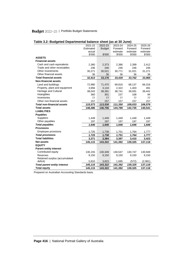| apic 0.2. Baagutu Bupartmuntar balance oncer fao at oo banu j |           |               |          |          |          |
|---------------------------------------------------------------|-----------|---------------|----------|----------|----------|
|                                                               | 2021-22   | 2022-23       | 2023-24  | 2024-25  | 2025-26  |
|                                                               | Estimated | <b>Budget</b> | Forward  | Forward  | Forward  |
|                                                               | actual    |               | estimate | estimate | estimate |
|                                                               | \$'000    | \$'000        | \$'000   | \$'000   | \$'000   |
| <b>ASSETS</b>                                                 |           |               |          |          |          |
| <b>Financial assets</b>                                       |           |               |          |          |          |
| Cash and cash equivalents                                     | 2,360     | 2,373         | 2,386    | 2,399    | 2,412    |
| Trade and other receivables                                   | 246       | 246           | 246      | 246      | 246      |
| Other investments                                             | 30,271    | 30,521        | 30,771   | 31,021   | 31,271   |
| Other financial assets                                        | 36        | 36            | 36       | 36       | 36       |
| <b>Total financial assets</b>                                 | 32,913    | 33,176        | 33,439   | 33,702   | 33,965   |
| <b>Non-financial assets</b>                                   |           |               |          |          |          |
| Land and buildings                                            | 72,980    | 71,470        | 69,816   | 68,137   | 66,316   |
| Property, plant and equipment                                 | 3,956     | 3,134         | 2,322    | 1,403    | 491      |
| Heritage and Cultural                                         | 38,043    | 38,391        | 38,741   | 39,091   | 39,441   |
| Intangibles                                                   | 360       | 301           | 237      | 168      | 94       |
| Inventories                                                   | 77        | 77            | 77       | 77       | 77       |
| Other non-financial assets                                    | 157       | 157           | 157      | 157      | 157      |
| <b>Total non-financial assets</b>                             | 115,573   | 113,530       | 111,350  | 109,033  | 106,576  |
| <b>Total assets</b>                                           | 148,486   | 146,706       | 144,789  | 142,735  | 140,541  |
| <b>LIABILITIES</b>                                            |           |               |          |          |          |
| <b>Payables</b>                                               |           |               |          |          |          |
| Suppliers                                                     | 1,449     | 1,449         | 1,449    | 1,449    | 1,449    |
| Other payables                                                | 197       | 197           | 197      | 197      | 197      |
| <b>Total payables</b>                                         | 1,646     | 1,646         | 1,646    | 1,646    | 1,646    |
| <b>Provisions</b>                                             |           |               |          |          |          |
| <b>Employee provisions</b>                                    | 1,725     | 1,738         | 1,751    | 1,764    | 1,777    |
| <b>Total provisions</b>                                       | 1,725     | 1,738         | 1,751    | 1,764    | 1,777    |
| <b>Total liabilities</b>                                      | 3,371     | 3,384         | 3,397    | 3,410    | 3,423    |
| <b>Net assets</b>                                             | 145,115   | 143,322       | 141,392  | 139,325  | 137,118  |
| <b>EQUITY</b>                                                 |           |               |          |          |          |
| <b>Parent entity interest</b>                                 |           |               |          |          |          |
| Contributed equity                                            | 130,155   | 130,349       | 130,547  | 130,747  | 130,949  |
| <b>Reserves</b>                                               | 9,150     | 9,150         | 9,150    | 9,150    | 9,150    |
| Retained surplus (accumulated                                 |           |               |          |          |          |
| deficit)                                                      | 5,810     | 3,823         | 1,695    | (572)    | (2,981)  |
| <b>Total parent entity interest</b>                           | 145,115   | 143,322       | 141,392  | 139,325  | 137,118  |
| <b>Total equity</b>                                           | 145,115   | 143,322       | 141,392  | 139,325  | 137,118  |

Prepared on Australian Accounting Standards basis.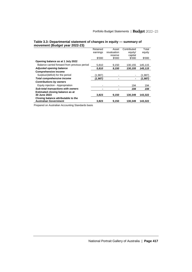| ັ<br>,                                                  |          |             |             |         |
|---------------------------------------------------------|----------|-------------|-------------|---------|
|                                                         | Retained | Asset       | Contributed | Total   |
|                                                         | earnings | revaluation | equity/     | equity  |
|                                                         |          | reserve     | capital     |         |
|                                                         | \$'000   | \$'000      | \$'000      | \$'000  |
| Opening balance as at 1 July 2022                       |          |             |             |         |
| Balance carried forward from previous period            | 5,810    | 9,150       | 130,155     | 145,115 |
| <b>Adjusted opening balance</b>                         | 5,810    | 9,150       | 130, 155    | 145,115 |
| <b>Comprehensive income</b>                             |          |             |             |         |
| Surplus/(deficit) for the period                        | (1.987)  |             |             | (1,987) |
| <b>Total comprehensive income</b>                       | (1,987)  |             |             | (1,987) |
| <b>Contributions by owners</b>                          |          |             |             |         |
| Equity injection - Appropriation                        |          |             | 194         | 194     |
| <b>Sub-total transactions with owners</b>               |          |             | 194         | 194     |
| Estimated closing balance as at                         |          |             |             |         |
| 30 June 2023                                            | 3,823    | 9,150       | 130.349     | 143,322 |
| Closing balance attributable to the                     |          |             |             |         |
| <b>Australian Government</b>                            | 3,823    | 9,150       | 130,349     | 143,322 |
| Descended to Accelerate Association Office dealer bests |          |             |             |         |

#### **Table 3.3: Departmental statement of changes in equity — summary of movement (Budget year 2022-23)**

Prepared on Australian Accounting Standards basis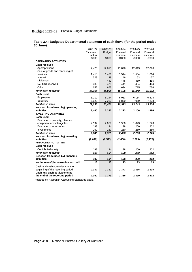|                                      | 2021-22   | 2022-23       | 2023-24  | 2024-25  | 2025-26  |
|--------------------------------------|-----------|---------------|----------|----------|----------|
|                                      | Estimated | <b>Budget</b> | Forward  | Forward  | Forward  |
|                                      | actual    |               | estimate | estimate | estimate |
|                                      | \$'000    | \$'000        | \$'000   | \$'000   | \$'000   |
| <b>OPERATING ACTIVITIES</b>          |           |               |          |          |          |
| Cash received                        |           |               |          |          |          |
| Appropriations                       | 12,475    | 12,615        | 11,896   | 12,013   | 12,096   |
| Sale of goods and rendering of       |           |               |          |          |          |
| services                             | 1,418     | 1,466         | 1,514    | 1,564    | 1,614    |
| Interest                             | 323       | 139           | 146      | 153      | 157      |
| <b>Dividends</b>                     |           | 440           | 445      | 450      | 455      |
| Net GST received                     | 430       | 475           | 441      | 454      | 464      |
| Other                                | 652       | 673           | 694      | 715      | 736      |
| <b>Total cash received</b>           | 15,298    | 15,808        | 15,136   | 15,349   | 15,522   |
| <b>Cash used</b>                     |           |               |          |          |          |
| Employees                            | 6,210     | 6,244         | 6,063    | 6,184    | 6,308    |
| Suppliers                            | 6,628     | 7,222         | 6,850    | 7,059    | 7,228    |
| <b>Total cash used</b>               | 12,838    | 13,466        | 12,913   | 13,243   | 13,536   |
| Net cash from/(used by) operating    |           |               |          |          |          |
| activities                           | 2,460     | 2,342         | 2,223    | 2,106    | 1,986    |
| <b>INVESTING ACTIVITIES</b>          |           |               |          |          |          |
| <b>Cash used</b>                     |           |               |          |          |          |
| Purchase of property, plant and      |           |               |          |          |          |
| equipment and intangibles            | 2,197     | 2,079         | 1,960    | 1,843    | 1,723    |
| Purchase of works of art             | 193       | 194           | 198      | 200      | 202      |
| Investments                          | 250       | 250           | 250      | 250      | 250      |
| Total cash used                      | 2,640     | 2,523         | 2,408    | 2,293    | 2,175    |
| Net cash from/(used by) investing    |           |               |          |          |          |
| activities                           | (2,640)   | (2, 523)      | (2, 408) | (2, 293) | (2, 175) |
| <b>FINANCING ACTIVITIES</b>          |           |               |          |          |          |
| <b>Cash received</b>                 |           |               |          |          |          |
| Contributed equity                   | 193       | 194           | 198      | 200      | 202      |
| <b>Total cash received</b>           | 193       | 194           | 198      | 200      | 202      |
| Net cash from/(used by) financing    |           |               |          |          |          |
| activities                           | 193       | 194           | 198      | 200      | 202      |
| Net increase/(decrease) in cash held | 13        | 13            | 13       | 13       | 13       |
| Cash and cash equivalents at the     |           |               |          |          |          |
| beginning of the reporting period    | 2,347     | 2,360         | 2,373    | 2,386    | 2,399    |
| Cash and cash equivalents at         |           |               |          |          |          |
| the end of the reporting period      | 2,360     | 2,373         | 2,386    | 2,399    | 2,412    |

#### **Table 3.4: Budgeted Departmental statement of cash flows (for the period ended 30 June)**

Prepared on Australian Accounting Standards basis.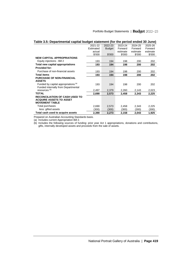|                                       | 2021-22   | 2022-23       | 2023-24  | 2024-25  | 2025-26  |
|---------------------------------------|-----------|---------------|----------|----------|----------|
|                                       | Estimated | <b>Budget</b> | Forward  | Forward  | Forward  |
|                                       | actual    |               | estimate | estimate | estimate |
|                                       | \$'000    | \$'000        | \$'000   | \$'000   | \$'000   |
| <b>NEW CAPITAL APPROPRIATIONS</b>     |           |               |          |          |          |
| Equity injections - Bill 2            | 193       | 194           | 198      | 200      | 202      |
| Total new capital appropriations      | 193       | 194           | 198      | 200      | 202      |
| <b>Provided for:</b>                  |           |               |          |          |          |
| Purchase of non-financial assets      | 193       | 194           | 198      | 200      | 202      |
| <b>Total items</b>                    | 193       | 194           | 198      | 200      | 202      |
| <b>PURCHASE OF NON-FINANCIAL</b>      |           |               |          |          |          |
| <b>ASSETS</b>                         |           |               |          |          |          |
| Funded by capital appropriations (a)  | 193       | 194           | 198      | 200      | 202      |
| Funded internally from Departmental   |           |               |          |          |          |
| resources <sup>(b)</sup>              | 2,497     | 2,379         | 2,260    | 2,143    | 2,023    |
| <b>TOTAL</b>                          | 2,690     | 2,573         | 2,458    | 2,343    | 2,225    |
| <b>RECONCILIATION OF CASH USED TO</b> |           |               |          |          |          |
| <b>ACQUIRE ASSETS TO ASSET</b>        |           |               |          |          |          |
| <b>MOVEMENT TABLE</b>                 |           |               |          |          |          |
| Total purchases                       | 2,690     | 2,573         | 2,458    | 2,343    | 2,225    |
| less: gifted assets                   | (300)     | (300)         | (300)    | (300)    | (300)    |
| Total cash used to acquire assets     | 2,390     | 2,273         | 2,158    | 2,043    | 1,925    |

| Table 3.5: Departmental capital budget statement (for the period ended 30 June) |  |  |
|---------------------------------------------------------------------------------|--|--|
|                                                                                 |  |  |

Prepared on Australian Accounting Standards basis.

(a) Includes current Appropriation Bill 2.

(b) Includes the following sources of funding: prior year Act 1 appropriations, donations and contributions, gifts, internally developed assets and proceeds from the sale of assets.